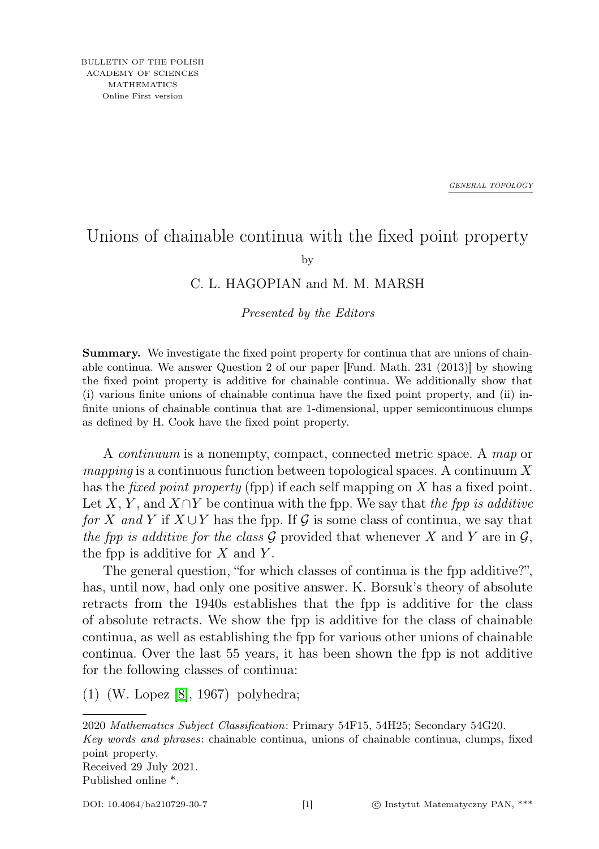*GENERAL TOPOLOGY*

## Unions of chainable continua with the fixed point property

by

## C. L. HAGOPIAN and M. M. MARSH

## Presented by the Editors

Summary. We investigate the fixed point property for continua that are unions of chainable continua. We answer Question 2 of our paper [Fund. Math. 231 (2013)] by showing the fixed point property is additive for chainable continua. We additionally show that (i) various finite unions of chainable continua have the fixed point property, and (ii) infinite unions of chainable continua that are 1-dimensional, upper semicontinuous clumps as defined by H. Cook have the fixed point property.

A continuum is a nonempty, compact, connected metric space. A map or *mapping* is a continuous function between topological spaces. A continuum X has the *fixed point property* (fpp) if each self mapping on X has a fixed point. Let X, Y, and  $X \cap Y$  be continua with the fpp. We say that the fpp is additive for X and Y if  $X \cup Y$  has the fpp. If G is some class of continua, we say that the fpp is additive for the class G provided that whenever X and Y are in  $\mathcal{G}$ , the fpp is additive for  $X$  and  $Y$ .

The general question, "for which classes of continua is the fpp additive?", has, until now, had only one positive answer. K. Borsuk's theory of absolute retracts from the 1940s establishes that the fpp is additive for the class of absolute retracts. We show the fpp is additive for the class of chainable continua, as well as establishing the fpp for various other unions of chainable continua. Over the last 55 years, it has been shown the fpp is not additive for the following classes of continua:

(1) (W. Lopez [\[8\]](#page-7-0), 1967) polyhedra;

2020 Mathematics Subject Classification: Primary 54F15, 54H25; Secondary 54G20. Key words and phrases: chainable continua, unions of chainable continua, clumps, fixed point property. Received 29 July 2021. Published online \*.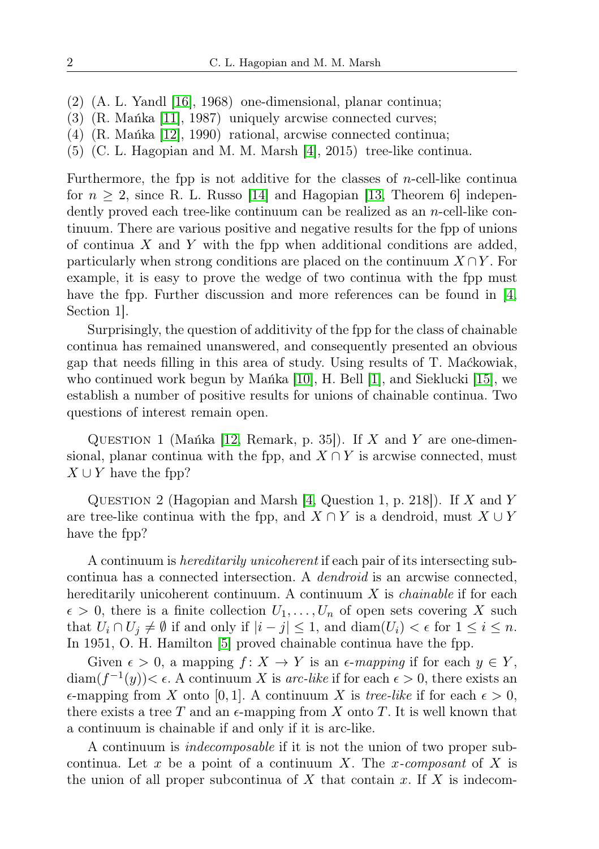- (2) (A. L. Yandl [\[16\]](#page-7-1), 1968) one-dimensional, planar continua;
- (3) (R. Mańka [\[11\]](#page-7-2), 1987) uniquely arcwise connected curves;
- (4) (R. Mańka [\[12\]](#page-7-3), 1990) rational, arcwise connected continua;
- (5) (C. L. Hagopian and M. M. Marsh [\[4\]](#page-7-4), 2015) tree-like continua.

Furthermore, the fpp is not additive for the classes of  $n$ -cell-like continua for  $n \geq 2$ , since R. L. Russo [\[14\]](#page-7-5) and Hagopian [\[13,](#page-7-6) Theorem 6] independently proved each tree-like continuum can be realized as an  $n$ -cell-like continuum. There are various positive and negative results for the fpp of unions of continua X and Y with the fpp when additional conditions are added, particularly when strong conditions are placed on the continuum  $X \cap Y$ . For example, it is easy to prove the wedge of two continua with the fpp must have the fpp. Further discussion and more references can be found in [\[4,](#page-7-4)] Section 1].

Surprisingly, the question of additivity of the fpp for the class of chainable continua has remained unanswered, and consequently presented an obvious gap that needs filling in this area of study. Using results of T. Maćkowiak, who continued work begun by Mańka [\[10\]](#page-7-7), H. Bell [\[1\]](#page-7-8), and Sieklucki [\[15\]](#page-7-9), we establish a number of positive results for unions of chainable continua. Two questions of interest remain open.

QUESTION 1 (Mańka [\[12,](#page-7-3) Remark, p. 35]). If X and Y are one-dimensional, planar continua with the fpp, and  $X \cap Y$  is arcwise connected, must  $X \cup Y$  have the fpp?

QUESTION 2 (Hagopian and Marsh [\[4,](#page-7-4) Question 1, p. 218]). If X and Y are tree-like continua with the fpp, and  $X \cap Y$  is a dendroid, must  $X \cup Y$ have the fpp?

A continuum is hereditarily unicoherent if each pair of its intersecting subcontinua has a connected intersection. A dendroid is an arcwise connected, hereditarily unicoherent continuum. A continuum  $X$  is *chainable* if for each  $\epsilon > 0$ , there is a finite collection  $U_1, \ldots, U_n$  of open sets covering X such that  $U_i \cap U_j \neq \emptyset$  if and only if  $|i - j| \leq 1$ , and  $\text{diam}(U_i) < \epsilon$  for  $1 \leq i \leq n$ . In 1951, O. H. Hamilton [\[5\]](#page-7-10) proved chainable continua have the fpp.

Given  $\epsilon > 0$ , a mapping  $f: X \to Y$  is an  $\epsilon$ -mapping if for each  $y \in Y$ ,  $\text{diam}(f^{-1}(y)) < \epsilon$ . A continuum X is arc-like if for each  $\epsilon > 0$ , there exists an  $\epsilon$ -mapping from X onto [0, 1]. A continuum X is tree-like if for each  $\epsilon > 0$ , there exists a tree T and an  $\epsilon$ -mapping from X onto T. It is well known that a continuum is chainable if and only if it is arc-like.

A continuum is indecomposable if it is not the union of two proper subcontinua. Let x be a point of a continuum X. The x-composant of X is the union of all proper subcontinua of  $X$  that contain  $x$ . If  $X$  is indecom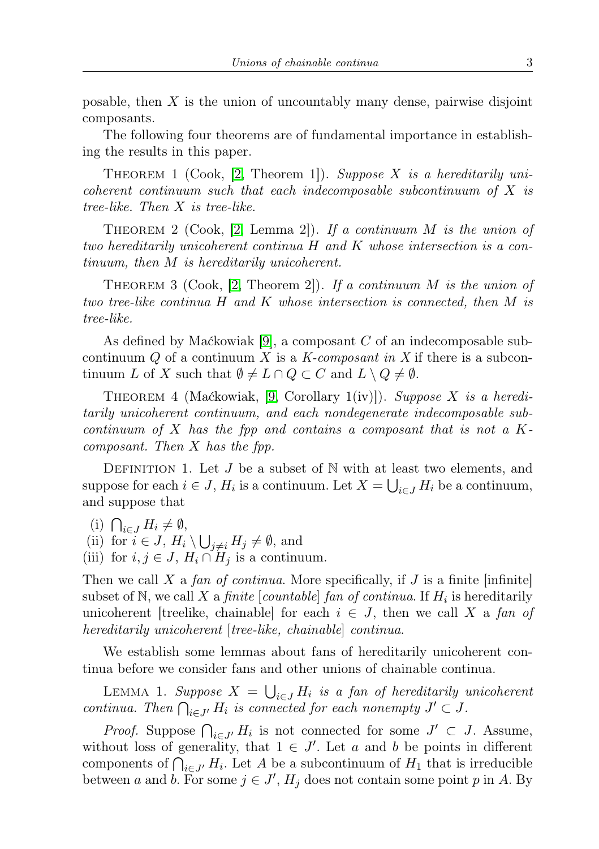posable, then  $X$  is the union of uncountably many dense, pairwise disjoint composants.

The following four theorems are of fundamental importance in establishing the results in this paper.

THEOREM 1 (Cook, [\[2,](#page-7-11) Theorem 1]). Suppose X is a hereditarily unicoherent continuum such that each indecomposable subcontinuum of  $X$  is tree-like. Then X is tree-like.

THEOREM 2 (Cook, [\[2,](#page-7-11) Lemma 2]). If a continuum M is the union of two hereditarily unicoherent continua H and K whose intersection is a continuum, then M is hereditarily unicoherent.

THEOREM 3 (Cook, [\[2,](#page-7-11) Theorem 2]). If a continuum M is the union of two tree-like continua H and K whose intersection is connected, then M is tree-like.

As defined by Maćkowiak [\[9\]](#page-7-12), a composant  $C$  of an indecomposable subcontinuum Q of a continuum X is a K-composant in X if there is a subcontinuum L of X such that  $\emptyset \neq L \cap Q \subset C$  and  $L \setminus Q \neq \emptyset$ .

THEOREM 4 (Maćkowiak, [\[9,](#page-7-12) Corollary 1(iv)]). Suppose X is a hereditarily unicoherent continuum, and each nondegenerate indecomposable subcontinuum of X has the fpp and contains a composant that is not a  $K$ composant. Then X has the fpp.

DEFINITION 1. Let  $J$  be a subset of N with at least two elements, and suppose for each  $i \in J$ ,  $H_i$  is a continuum. Let  $X = \bigcup_{i \in J} H_i$  be a continuum, and suppose that

(i)  $\bigcap_{i\in J} H_i \neq \emptyset$ ,

(ii) for  $i \in J$ ,  $H_i \setminus \bigcup_{j \neq i} H_j \neq \emptyset$ , and

(iii) for  $i, j \in J$ ,  $H_i \cap H_j$  is a continuum.

Then we call X a fan of continua. More specifically, if  $J$  is a finite [infinite] subset of N, we call X a *finite* [*countable*] *fan of continua*. If  $H_i$  is hereditarily unicoherent [treelike, chainable] for each  $i \in J$ , then we call X a fan of hereditarily unicoherent [tree-like, chainable] continua.

We establish some lemmas about fans of hereditarily unicoherent continua before we consider fans and other unions of chainable continua.

LEMMA 1. Suppose  $X = \bigcup_{i \in J} H_i$  is a fan of hereditarily unicoherent continua. Then  $\bigcap_{i\in J'} H_i$  is connected for each nonempty  $J' \subset J$ .

*Proof.* Suppose  $\bigcap_{i \in J'} H_i$  is not connected for some  $J' \subset J$ . Assume, without loss of generality, that  $1 \in J'$ . Let a and b be points in different components of  $\bigcap_{i\in J'} H_i$ . Let A be a subcontinuum of  $H_1$  that is irreducible between a and b. For some  $j \in J'$ ,  $H_j$  does not contain some point p in A. By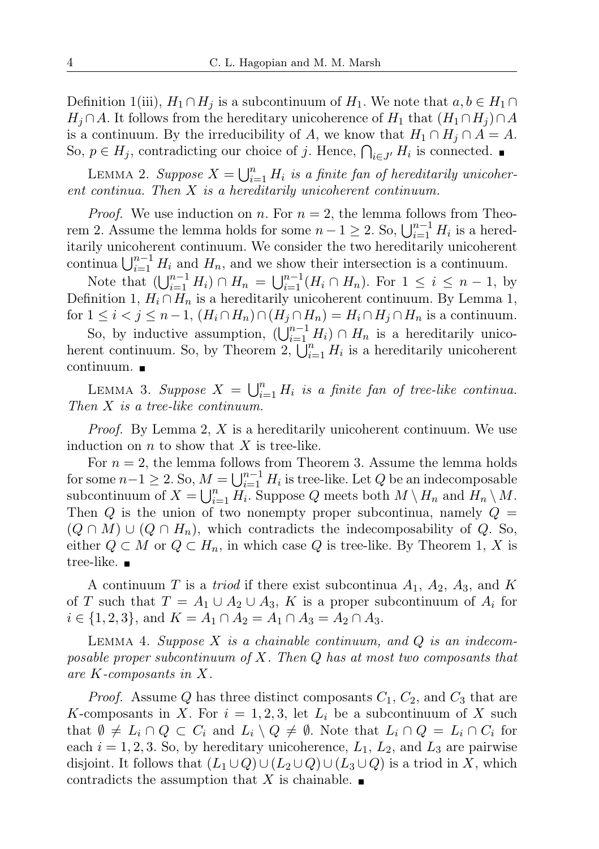Definition 1(iii),  $H_1 \cap H_j$  is a subcontinuum of  $H_1$ . We note that  $a, b \in H_1 \cap$  $H_j \cap A$ . It follows from the hereditary unicoherence of  $H_1$  that  $(H_1 \cap H_j) \cap A$ is a continuum. By the irreducibility of A, we know that  $H_1 \cap H_j \cap A = A$ . So,  $p \in H_j$ , contradicting our choice of j. Hence,  $\bigcap_{i \in J'} H_i$  is connected.

LEMMA 2. Suppose  $X = \bigcup_{i=1}^{n} H_i$  is a finite fan of hereditarily unicoherent continua. Then X is a hereditarily unicoherent continuum.

*Proof.* We use induction on *n*. For  $n = 2$ , the lemma follows from Theorem 2. Assume the lemma holds for some  $n - 1 \geq 2$ . So,  $\bigcup_{i=1}^{n-1} H_i$  is a hereditarily unicoherent continuum. We consider the two hereditarily unicoherent continua  $\bigcup_{i=1}^{n-1} H_i$  and  $H_n$ , and we show their intersection is a continuum.

Note that  $(\bigcup_{i=1}^{n-1} H_i) \cap H_n = \bigcup_{i=1}^{n-1} (H_i \cap H_n)$ . For  $1 \leq i \leq n-1$ , by Definition 1,  $H_i \cap H_n$  is a hereditarily unicoherent continuum. By Lemma 1, for  $1 \leq i < j \leq n-1$ ,  $(H_i \cap H_n) \cap (H_j \cap H_n) = H_i \cap H_j \cap H_n$  is a continuum.

So, by inductive assumption,  $(\bigcup_{i=1}^{n-1} H_i) \cap H_n$  is a hereditarily unicoherent continuum. So, by Theorem 2,  $\bigcup_{i=1}^{n} H_i$  is a hereditarily unicoherent continuum.

LEMMA 3. Suppose  $X = \bigcup_{i=1}^n H_i$  is a finite fan of tree-like continua. Then X is a tree-like continuum.

*Proof.* By Lemma 2,  $X$  is a hereditarily unicoherent continuum. We use induction on  $n$  to show that  $X$  is tree-like.

For  $n = 2$ , the lemma follows from Theorem 3. Assume the lemma holds for some  $n-1 \geq 2$ . So,  $M = \bigcup_{i=1}^{n-1} H_i$  is tree-like. Let  $Q$  be an indecomposable subcontinuum of  $X = \bigcup_{i=1}^{n} H_i$ . Suppose Q meets both  $M \setminus H_n$  and  $H_n \setminus M$ . Then  $Q$  is the union of two nonempty proper subcontinua, namely  $Q =$  $(Q \cap M) \cup (Q \cap H_n)$ , which contradicts the indecomposability of Q. So, either  $Q \subset M$  or  $Q \subset H_n$ , in which case Q is tree-like. By Theorem 1, X is tree-like. ■

A continuum T is a *triod* if there exist subcontinua  $A_1$ ,  $A_2$ ,  $A_3$ , and K of T such that  $T = A_1 \cup A_2 \cup A_3$ , K is a proper subcontinuum of  $A_i$  for  $i \in \{1, 2, 3\}$ , and  $K = A_1 \cap A_2 = A_1 \cap A_3 = A_2 \cap A_3$ .

LEMMA 4. Suppose  $X$  is a chainable continuum, and  $Q$  is an indecomposable proper subcontinuum of  $X$ . Then  $Q$  has at most two composants that are K-composants in X.

*Proof.* Assume Q has three distinct composants  $C_1$ ,  $C_2$ , and  $C_3$  that are K-composants in X. For  $i = 1, 2, 3$ , let  $L_i$  be a subcontinuum of X such that  $\emptyset \neq L_i \cap Q \subset C_i$  and  $L_i \setminus Q \neq \emptyset$ . Note that  $L_i \cap Q = L_i \cap C_i$  for each  $i = 1, 2, 3$ . So, by hereditary unicoherence,  $L_1$ ,  $L_2$ , and  $L_3$  are pairwise disjoint. It follows that  $(L_1 \cup Q) \cup (L_2 \cup Q) \cup (L_3 \cup Q)$  is a triod in X, which contradicts the assumption that X is chainable.  $\blacksquare$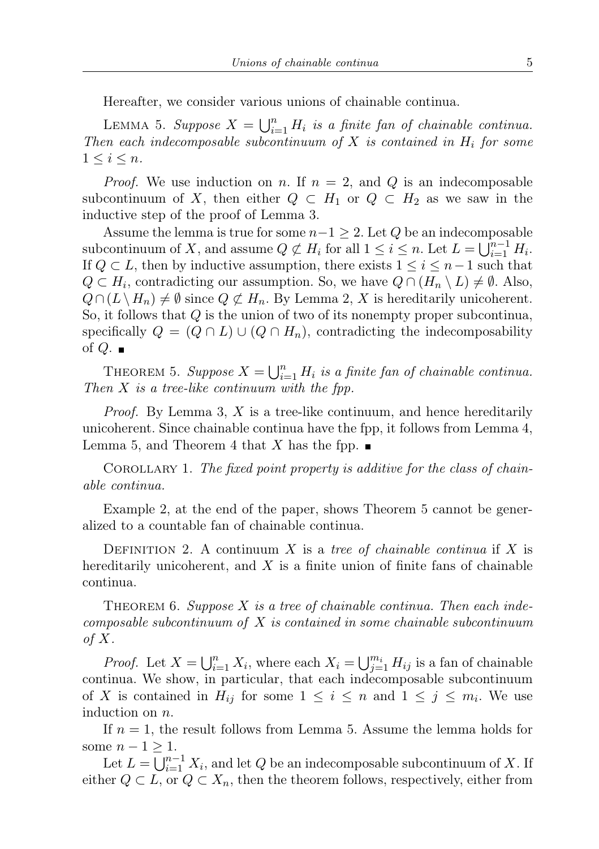Hereafter, we consider various unions of chainable continua.

LEMMA 5. Suppose  $X = \bigcup_{i=1}^n H_i$  is a finite fan of chainable continua. Then each indecomposable subcontinuum of X is contained in  $H_i$  for some  $1 \leq i \leq n$ .

*Proof.* We use induction on n. If  $n = 2$ , and Q is an indecomposable subcontinuum of X, then either  $Q \subset H_1$  or  $Q \subset H_2$  as we saw in the inductive step of the proof of Lemma 3.

Assume the lemma is true for some  $n-1 \geq 2$ . Let Q be an indecomposable subcontinuum of X, and assume  $Q \not\subset H_i$  for all  $1 \leq i \leq n$ . Let  $L = \bigcup_{i=1}^{n-1} H_i$ . If  $Q \subset L$ , then by inductive assumption, there exists  $1 \leq i \leq n-1$  such that  $Q \subset H_i$ , contradicting our assumption. So, we have  $Q \cap (H_n \setminus L) \neq \emptyset$ . Also,  $Q \cap (L \setminus H_n) \neq \emptyset$  since  $Q \not\subset H_n$ . By Lemma 2, X is hereditarily unicoherent. So, it follows that Q is the union of two of its nonempty proper subcontinua, specifically  $Q = (Q \cap L) \cup (Q \cap H_n)$ , contradicting the indecomposability of  $Q$ .

THEOREM 5. Suppose  $X = \bigcup_{i=1}^{n} H_i$  is a finite fan of chainable continua. Then  $X$  is a tree-like continuum with the fpp.

*Proof.* By Lemma 3, X is a tree-like continuum, and hence hereditarily unicoherent. Since chainable continua have the fpp, it follows from Lemma 4, Lemma 5, and Theorem 4 that X has the fpp.  $\blacksquare$ 

COROLLARY 1. The fixed point property is additive for the class of chainable continua.

Example 2, at the end of the paper, shows Theorem 5 cannot be generalized to a countable fan of chainable continua.

DEFINITION 2. A continuum X is a tree of chainable continua if X is hereditarily unicoherent, and  $X$  is a finite union of finite fans of chainable continua.

THEOREM 6. Suppose  $X$  is a tree of chainable continua. Then each indecomposable subcontinuum of  $X$  is contained in some chainable subcontinuum of  $X$ .

*Proof.* Let  $X = \bigcup_{i=1}^{n} X_i$ , where each  $X_i = \bigcup_{j=1}^{m_i} H_{ij}$  is a fan of chainable continua. We show, in particular, that each indecomposable subcontinuum of X is contained in  $H_{ij}$  for some  $1 \leq i \leq n$  and  $1 \leq j \leq m_i$ . We use induction on n.

If  $n = 1$ , the result follows from Lemma 5. Assume the lemma holds for some  $n-1 \geq 1$ .

Let  $L = \bigcup_{i=1}^{n-1} X_i$ , and let Q be an indecomposable subcontinuum of X. If either  $Q \subset L$ , or  $Q \subset X_n$ , then the theorem follows, respectively, either from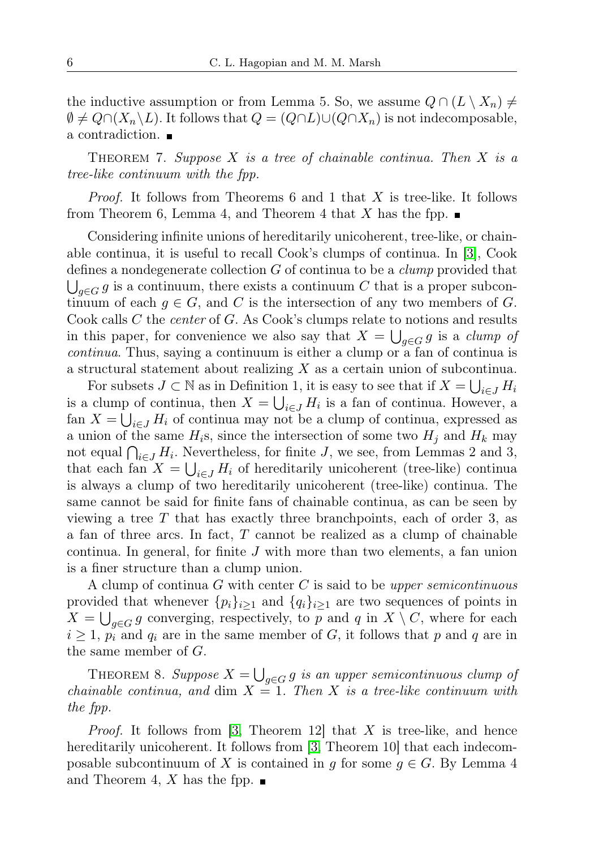the inductive assumption or from Lemma 5. So, we assume  $Q \cap (L \setminus X_n) \neq$  $\emptyset \neq Q \cap (X_n \backslash L)$ . It follows that  $Q = (Q \cap L) \cup (Q \cap X_n)$  is not indecomposable, a contradiction.

THEOREM 7. Suppose X is a tree of chainable continua. Then X is a tree-like continuum with the fpp.

*Proof.* It follows from Theorems 6 and 1 that X is tree-like. It follows from Theorem 6, Lemma 4, and Theorem 4 that X has the fpp.  $\blacksquare$ 

Considering infinite unions of hereditarily unicoherent, tree-like, or chainable continua, it is useful to recall Cook's clumps of continua. In [\[3\]](#page-7-13), Cook defines a nondegenerate collection  $G$  of continua to be a *clump* provided that  $\bigcup_{g\in G} g$  is a continuum, there exists a continuum C that is a proper subcontinuum of each  $g \in G$ , and C is the intersection of any two members of G. Cook calls C the *center* of G. As Cook's clumps relate to notions and results in this paper, for convenience we also say that  $X = \bigcup_{g \in G} g$  is a *clump of* continua. Thus, saying a continuum is either a clump or a fan of continua is a structural statement about realizing X as a certain union of subcontinua.

For subsets  $J \subset \mathbb{N}$  as in Definition 1, it is easy to see that if  $X = \bigcup_{i \in J} H_i$ is a clump of continua, then  $X = \bigcup_{i \in J} H_i$  is a fan of continua. However, a fan  $X = \bigcup_{i \in J} H_i$  of continua may not be a clump of continua, expressed as a union of the same  $H_i$ s, since the intersection of some two  $H_j$  and  $H_k$  may not equal  $\bigcap_{i\in J} H_i$ . Nevertheless, for finite J, we see, from Lemmas 2 and 3, that each fan  $X = \bigcup_{i \in J} H_i$  of hereditarily unicoherent (tree-like) continua is always a clump of two hereditarily unicoherent (tree-like) continua. The same cannot be said for finite fans of chainable continua, as can be seen by viewing a tree  $T$  that has exactly three branchpoints, each of order 3, as a fan of three arcs. In fact, T cannot be realized as a clump of chainable continua. In general, for finite J with more than two elements, a fan union is a finer structure than a clump union.

A clump of continua  $G$  with center  $C$  is said to be upper semicontinuous provided that whenever  $\{p_i\}_{i\geq 1}$  and  $\{q_i\}_{i\geq 1}$  are two sequences of points in  $X = \bigcup_{g \in G} g$  converging, respectively, to p and q in  $X \setminus C$ , where for each  $i \geq 1$ ,  $p_i$  and  $q_i$  are in the same member of G, it follows that p and q are in the same member of G.

THEOREM 8. Suppose  $X = \bigcup_{g \in G} g$  is an upper semicontinuous clump of chainable continua, and dim  $X = 1$ . Then X is a tree-like continuum with the fpp.

*Proof.* It follows from [\[3,](#page-7-13) Theorem 12] that X is tree-like, and hence hereditarily unicoherent. It follows from [\[3,](#page-7-13) Theorem 10] that each indecomposable subcontinuum of X is contained in g for some  $g \in G$ . By Lemma 4 and Theorem 4, X has the fpp.  $\blacksquare$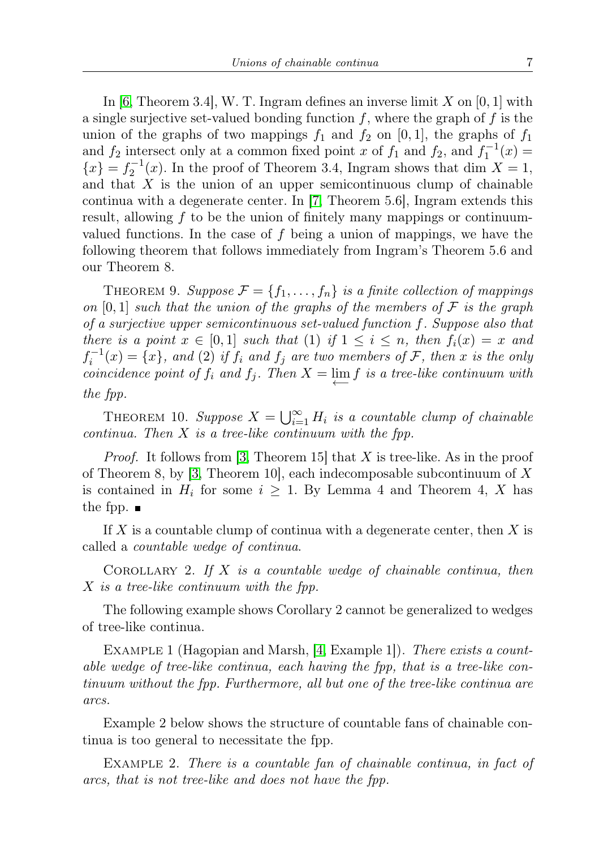In [\[6,](#page-7-14) Theorem 3.4], W. T. Ingram defines an inverse limit  $X$  on [0, 1] with a single surjective set-valued bonding function  $f$ , where the graph of  $f$  is the union of the graphs of two mappings  $f_1$  and  $f_2$  on [0, 1], the graphs of  $f_1$ and  $f_2$  intersect only at a common fixed point x of  $f_1$  and  $f_2$ , and  $f_1^{-1}(x)$  ${x} = f_2^{-1}(x)$ . In the proof of Theorem 3.4, Ingram shows that dim  $X = 1$ , and that  $X$  is the union of an upper semicontinuous clump of chainable continua with a degenerate center. In [\[7,](#page-7-15) Theorem 5.6], Ingram extends this result, allowing f to be the union of finitely many mappings or continuumvalued functions. In the case of  $f$  being a union of mappings, we have the following theorem that follows immediately from Ingram's Theorem 5.6 and our Theorem 8.

THEOREM 9. Suppose  $\mathcal{F} = \{f_1, \ldots, f_n\}$  is a finite collection of mappings on [0, 1] such that the union of the graphs of the members of  $\mathcal F$  is the graph of a surjective upper semicontinuous set-valued function f. Suppose also that there is a point  $x \in [0,1]$  such that (1) if  $1 \leq i \leq n$ , then  $f_i(x) = x$  and  $f_i^{-1}(x) = \{x\}$ , and (2) if  $f_i$  and  $f_j$  are two members of  $\mathcal F$ , then  $x$  is the only coincidence point of  $f_i$  and  $f_j$ . Then  $X = \lim_{n \to \infty} f$  is a tree-like continuum with the fpp.

THEOREM 10. Suppose  $X = \bigcup_{i=1}^{\infty} H_i$  is a countable clump of chainable continua. Then  $X$  is a tree-like continuum with the fpp.

*Proof.* It follows from [\[3,](#page-7-13) Theorem 15] that X is tree-like. As in the proof of Theorem 8, by  $\left|3, 1\right|$  Theorem 10, each indecomposable subcontinuum of X is contained in  $H_i$  for some  $i \geq 1$ . By Lemma 4 and Theorem 4, X has the fpp.  $\blacksquare$ 

If  $X$  is a countable clump of continua with a degenerate center, then  $X$  is called a countable wedge of continua.

COROLLARY 2. If  $X$  is a countable wedge of chainable continua, then X is a tree-like continuum with the fpp.

The following example shows Corollary 2 cannot be generalized to wedges of tree-like continua.

EXAMPLE 1 (Hagopian and Marsh, [\[4,](#page-7-4) Example 1]). There exists a countable wedge of tree-like continua, each having the fpp, that is a tree-like continuum without the fpp. Furthermore, all but one of the tree-like continua are arcs.

Example 2 below shows the structure of countable fans of chainable continua is too general to necessitate the fpp.

EXAMPLE 2. There is a countable fan of chainable continua, in fact of arcs, that is not tree-like and does not have the fpp.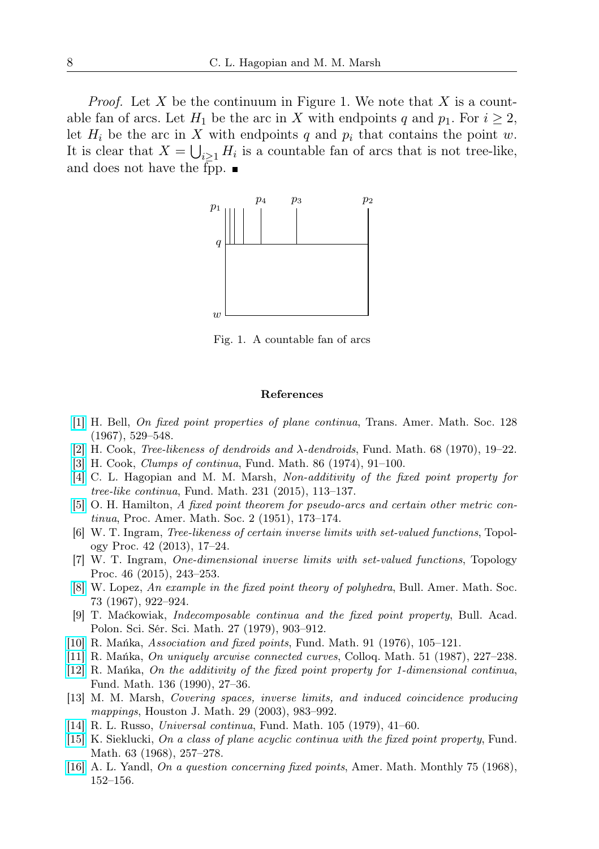*Proof.* Let X be the continuum in Figure 1. We note that X is a countable fan of arcs. Let  $H_1$  be the arc in X with endpoints q and  $p_1$ . For  $i \geq 2$ , let  $H_i$  be the arc in X with endpoints q and  $p_i$  that contains the point w. It is clear that  $X = \bigcup_{i \geq 1} H_i$  is a countable fan of arcs that is not tree-like, and does not have the fpp.



Fig. 1. A countable fan of arcs

## References

- <span id="page-7-8"></span>[\[1\]](http://dx.doi.org/10.1090/S0002-9947-1967-0214036-2) H. Bell, On fixed point properties of plane continua, Trans. Amer. Math. Soc. 128 (1967), 529–548.
- <span id="page-7-11"></span>[\[2\]](http://dx.doi.org/10.4064/fm-68-1-19-22) H. Cook, *Tree-likeness of dendroids and*  $\lambda$ *-dendroids*, Fund. Math. 68 (1970), 19–22.
- <span id="page-7-13"></span>[\[3\]](http://dx.doi.org/10.4064/fm-86-2-91-100) H. Cook, Clumps of continua, Fund. Math. 86 (1974), 91–100.
- <span id="page-7-4"></span>[\[4\]](http://dx.doi.org/10.4064/fm231-2-2) C. L. Hagopian and M. M. Marsh, Non-additivity of the fixed point property for tree-like continua, Fund. Math. 231 (2015), 113–137.
- <span id="page-7-10"></span>[\[5\]](http://dx.doi.org/10.1090/S0002-9939-1951-0039993-2) O. H. Hamilton, A fixed point theorem for pseudo-arcs and certain other metric continua, Proc. Amer. Math. Soc. 2 (1951), 173–174.
- <span id="page-7-14"></span>[6] W. T. Ingram, Tree-likeness of certain inverse limits with set-valued functions, Topology Proc. 42 (2013), 17–24.
- <span id="page-7-15"></span>[7] W. T. Ingram, One-dimensional inverse limits with set-valued functions, Topology Proc. 46 (2015), 243–253.
- <span id="page-7-0"></span>[\[8\]](http://dx.doi.org/10.1090/S0002-9904-1967-11848-2) W. Lopez, An example in the fixed point theory of polyhedra, Bull. Amer. Math. Soc. 73 (1967), 922–924.
- <span id="page-7-12"></span>[9] T. Maćkowiak, Indecomposable continua and the fixed point property, Bull. Acad. Polon. Sci. Sér. Sci. Math. 27 (1979), 903–912.
- <span id="page-7-7"></span>[\[10\]](http://dx.doi.org/10.4064/fm-91-2-105-121) R. Mańka, Association and fixed points, Fund. Math. 91 (1976), 105–121.
- <span id="page-7-2"></span>[\[11\]](http://dx.doi.org/10.4064/cm-51-1-227-238) R. Mańka, On uniquely arcwise connected curves, Colloq. Math. 51 (1987), 227–238.
- <span id="page-7-3"></span>[\[12\]](http://dx.doi.org/10.4064/fm-136-1-27-36) R. Mańka, On the additivity of the fixed point property for 1-dimensional continua, Fund. Math. 136 (1990), 27–36.
- <span id="page-7-6"></span>[13] M. M. Marsh, Covering spaces, inverse limits, and induced coincidence producing mappings, Houston J. Math. 29 (2003), 983–992.
- <span id="page-7-5"></span>[\[14\]](http://dx.doi.org/10.4064/fm-105-1-41-60) R. L. Russo, Universal continua, Fund. Math. 105 (1979), 41–60.
- <span id="page-7-9"></span>[\[15\]](http://dx.doi.org/10.4064/fm-63-3-257-278) K. Sieklucki, On a class of plane acyclic continua with the fixed point property, Fund. Math. 63 (1968), 257–278.
- <span id="page-7-1"></span>[\[16\]](http://dx.doi.org/10.1080/00029890.1968.11970960) A. L. Yandl, On a question concerning fixed points, Amer. Math. Monthly 75 (1968), 152–156.